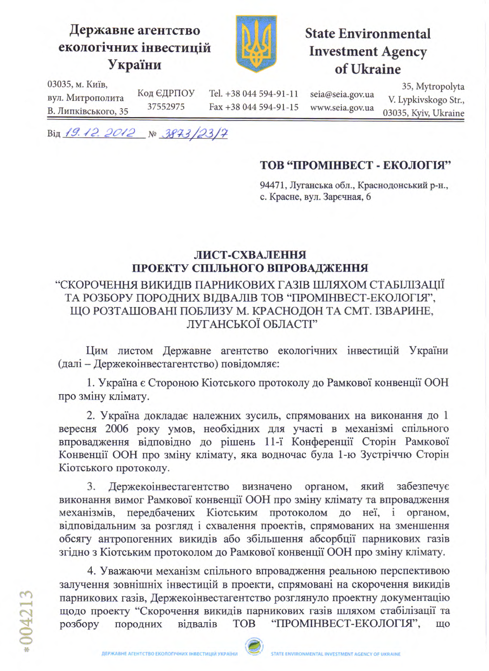## Державне агентство екологічних інвестицій України



# **State Environmental Investment Agency** of Ukraine

03035, м. Київ,

вул. Митрополита В. Липківського, 35 Tel. +38 044 594-91-11 Fax +38 044 594-91-15 seia@seia.gov.ua www.seia.gov.ua

35, Mytropolyta V. Lypkivskogo Str., 03035, Kyiv, Ukraine

Від 19.12.2012 № 3873/23/7

Код ЄДРПОУ

37552975

## ТОВ "ПРОМІНВЕСТ - ЕКОЛОГІЯ"

94471, Луганська обл., Краснодонський р-н., с. Красне, вул. Зарєчная, 6

### ЛИСТ-СХВАЛЕННЯ ПРОЕКТУ СПІЛЬНОГО ВПРОВАДЖЕННЯ

#### "СКОРОЧЕННЯ ВИКИДІВ ПАРНИКОВИХ ГАЗІВ ШЛЯХОМ СТАБІЛІЗАЦІЇ ТА РОЗБОРУ ПОРОДНИХ ВІДВАЛІВ ТОВ "ПРОМІНВЕСТ-ЕКОЛОГІЯ", ЩО РОЗТАШОВАНІ ПОБЛИЗУ М. КРАСНОДОН ТА СМТ. ІЗВАРИНЕ, ЛУГАНСЬКОЇ ОБЛАСТІ"

Цим листом Державне агентство екологічних інвестицій України (далі - Держекоінвестагентство) повідомляє:

1. Україна є Стороною Кіотського протоколу до Рамкової конвенції ООН про зміну клімату.

2. Україна докладає належних зусиль, спрямованих на виконання до 1 вересня 2006 року умов, необхідних для участі в механізмі спільного впровадження відповідно до рішень 11-ї Конференції Сторін Рамкової Конвенції ООН про зміну клімату, яка водночас була 1-ю Зустріччю Сторін Кіотського протоколу.

3. Держекоінвестагентство визначено органом, який забезпечує виконання вимог Рамкової конвенції ООН про зміну клімату та впровадження механізмів, передбачених Кіотським протоколом до неї, і органом, відповідальним за розгляд і схвалення проектів, спрямованих на зменшення обсягу антропогенних викидів або збільшення абсорбції парникових газів згідно з Кіотським протоколом до Рамкової конвенції ООН про зміну клімату.

4. Уважаючи механізм спільного впровадження реальною перспективою залучення зовнішніх інвестицій в проекти, спрямовані на скорочення викидів парникових газів, Держекоінвестагентство розглянуло проектну документацію щодо проекту "Скорочення викидів парникових газів шляхом стабілізації та "ПРОМІНВЕСТ-ЕКОЛОГІЯ", розбору відвалів **TOB** що породних